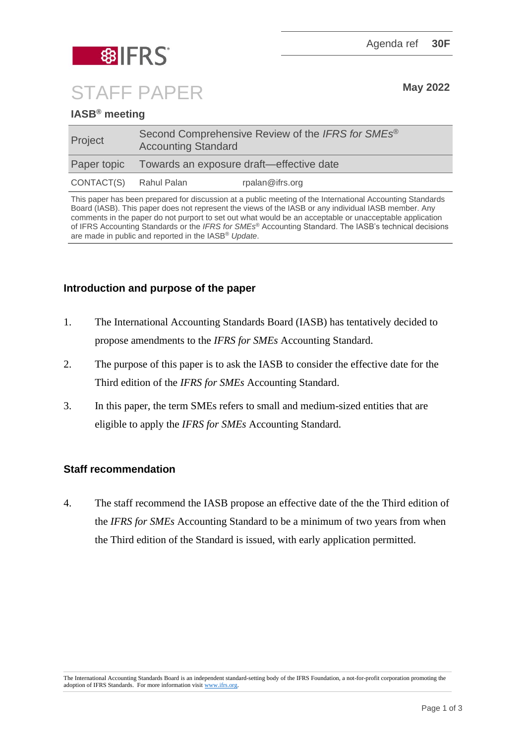Agenda ref **30F**



STAFF PAPER May 2022

# **IASB® meeting**

| Project                | Second Comprehensive Review of the IFRS for SMEs <sup>®</sup><br><b>Accounting Standard</b> |                 |
|------------------------|---------------------------------------------------------------------------------------------|-----------------|
|                        | Paper topic Towards an exposure draft—effective date                                        |                 |
| CONTACT(S) Rahul Palan |                                                                                             | rpalan@ifrs.org |

This paper has been prepared for discussion at a public meeting of the International Accounting Standards Board (IASB). This paper does not represent the views of the IASB or any individual IASB member. Any comments in the paper do not purport to set out what would be an acceptable or unacceptable application of IFRS Accounting Standards or the *IFRS for SMEs*® Accounting Standard. The IASB's technical decisions are made in public and reported in the IASB® *Update*.

## **Introduction and purpose of the paper**

- 1. The International Accounting Standards Board (IASB) has tentatively decided to propose amendments to the *IFRS for SMEs* Accounting Standard.
- 2. The purpose of this paper is to ask the IASB to consider the effective date for the Third edition of the *IFRS for SMEs* Accounting Standard.
- 3. In this paper, the term SMEs refers to small and medium-sized entities that are eligible to apply the *IFRS for SMEs* Accounting Standard.

### **Staff recommendation**

4. The staff recommend the IASB propose an effective date of the the Third edition of the *IFRS for SMEs* Accounting Standard to be a minimum of two years from when the Third edition of the Standard is issued, with early application permitted.

The International Accounting Standards Board is an independent standard-setting body of the IFRS Foundation, a not-for-profit corporation promoting the adoption of IFRS Standards. For more information visit [www.ifrs.org.](http://www.ifrs.org/)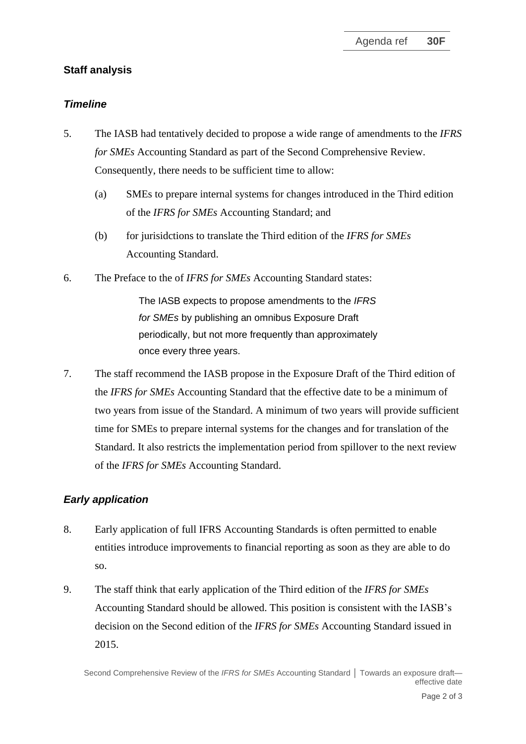### **Staff analysis**

#### *Timeline*

- 5. The IASB had tentatively decided to propose a wide range of amendments to the *IFRS for SMEs* Accounting Standard as part of the Second Comprehensive Review. Consequently, there needs to be sufficient time to allow:
	- (a) SMEs to prepare internal systems for changes introduced in the Third edition of the *IFRS for SMEs* Accounting Standard; and
	- (b) for jurisidctions to translate the Third edition of the *IFRS for SMEs* Accounting Standard.
- 6. The Preface to the of *IFRS for SMEs* Accounting Standard states:

The IASB expects to propose amendments to the *IFRS for SMEs* by publishing an omnibus Exposure Draft periodically, but not more frequently than approximately once every three years.

7. The staff recommend the IASB propose in the Exposure Draft of the Third edition of the *IFRS for SMEs* Accounting Standard that the effective date to be a minimum of two years from issue of the Standard. A minimum of two years will provide sufficient time for SMEs to prepare internal systems for the changes and for translation of the Standard. It also restricts the implementation period from spillover to the next review of the *IFRS for SMEs* Accounting Standard.

### *Early application*

- 8. Early application of full IFRS Accounting Standards is often permitted to enable entities introduce improvements to financial reporting as soon as they are able to do so.
- 9. The staff think that early application of the Third edition of the *IFRS for SMEs* Accounting Standard should be allowed. This position is consistent with the IASB's decision on the Second edition of the *IFRS for SMEs* Accounting Standard issued in 2015.